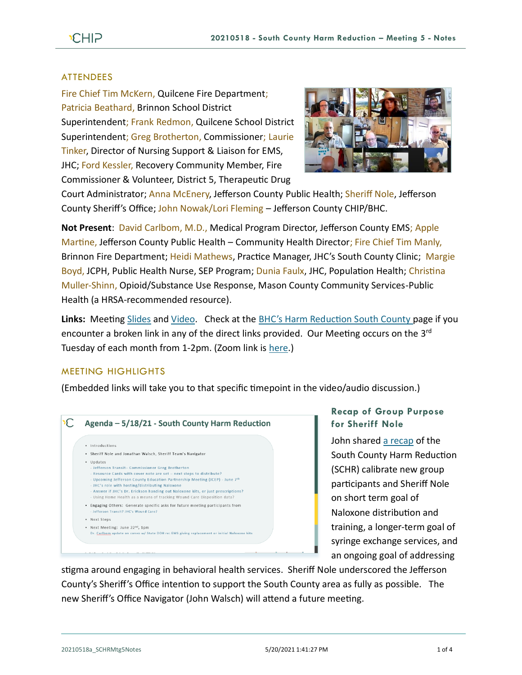## ATTENDEES

Fire Chief Tim McKern, Quilcene Fire Department; Patricia Beathard, Brinnon School District Superintendent; Frank Redmon, Quilcene School District Superintendent; Greg Brotherton, Commissioner; Laurie Tinker, Director of Nursing Support & Liaison for EMS, JHC; Ford Kessler, Recovery Community Member, Fire Commissioner & Volunteer, District 5, Therapeutic Drug



Court Administrator; Anna McEnery, Jefferson County Public Health; Sheriff Nole, Jefferson County Sheriff's Office; John Nowak/Lori Fleming – Jefferson County CHIP/BHC.

**Not Present**: David Carlbom, M.D., Medical Program Director, Jefferson County EMS; Apple Martine, Jefferson County Public Health – Community Health Director; Fire Chief Tim Manly, Brinnon Fire Department; Heidi Mathews, Practice Manager, JHC's South County Clinic; Margie Boyd, JCPH, Public Health Nurse, SEP Program; Dunia Faulx, JHC, Population Health; Christina Muller-Shinn, Opioid/Substance Use Response, Mason County Community Services-Public Health (a HRSA-recommended resource).

**Links:** Meeting [Slides](https://793b0af6-bf22-4c2c-91c8-8cc6fd2f172d.filesusr.com/ugd/2fdcdd_783161c81d344b149b544fb33ff26a9e.pdf) and [Video.](https://www.youtube.com/watch?v=CI-4jh9rg8E) Check at the [BHC's Harm Reduction South County p](https://www.behealthyjefferson.com/bhcharmreduction)age if you encounter a broken link in any of the direct links provided. Our Meeting occurs on the 3<sup>rd</sup> Tuesday of each month from 1-2pm. (Zoom link is [here.](https://zoom.us/j/97908186807?pwd=QTFtTTNJRkFnRzJwZ1poK2lvcWxUdz09))

### MEETING HIGHLIGHTS

(Embedded links will take you to that specific timepoint in the video/audio discussion.)



# **Recap of Group Purpose for Sheriff Nole**

John share[d a recap](https://youtu.be/CI-4jh9rg8E?t=53) of the South County Harm Reduction (SCHR) calibrate new group participants and Sheriff Nole on short term goal of Naloxone distribution and training, a longer-term goal of syringe exchange services, and an ongoing goal of addressing

stigma around engaging in behavioral health services. Sheriff Nole underscored the Jefferson County's Sheriff's Office intention to support the South County area as fully as possible. The new Sheriff's Office Navigator (John Walsch) will attend a future meeting.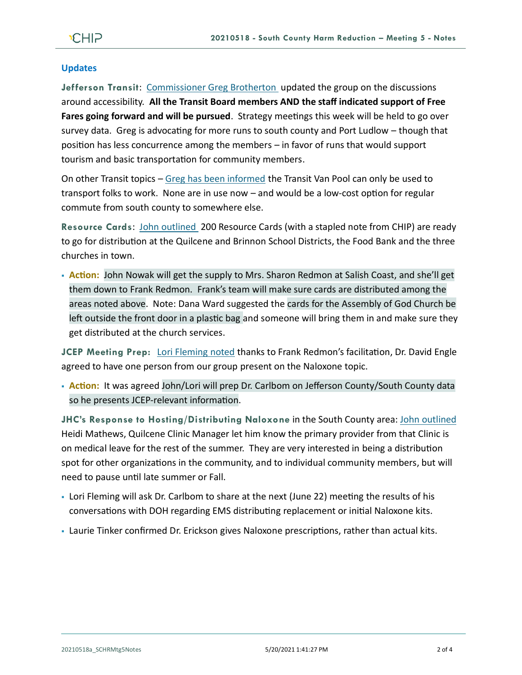# **Updates**

**Jefferson Transit**: [Commissioner Greg Brotherton](https://youtu.be/CI-4jh9rg8E?t=359) updated the group on the discussions around accessibility. **All the Transit Board members AND the staff indicated support of Free Fares going forward and will be pursued**. Strategy meetings this week will be held to go over survey data. Greg is advocating for more runs to south county and Port Ludlow – though that position has less concurrence among the members – in favor of runs that would support tourism and basic transportation for community members.

On other Transit topics – [Greg has been informed](https://youtu.be/CI-4jh9rg8E?t=524) the Transit Van Pool can only be used to transport folks to work. None are in use now – and would be a low-cost option for regular commute from south county to somewhere else.

**Resource Cards**: [John outlined](https://youtu.be/CI-4jh9rg8E?t=709) 200 Resource Cards (with a stapled note from CHIP) are ready to go for distribution at the Quilcene and Brinnon School Districts, the Food Bank and the three churches in town.

▪ **Action:** John Nowak will get the supply to Mrs. Sharon Redmon at Salish Coast, and she'll get them down to Frank Redmon. Frank's team will make sure cards are distributed among the areas noted above. Note: Dana Ward suggested the cards for the Assembly of God Church be left outside the front door in a plastic bag and someone will bring them in and make sure they get distributed at the church services.

**JCEP Meeting Prep:** [Lori Fleming noted](https://youtu.be/CI-4jh9rg8E?t=894) thanks to Frank Redmon's facilitation, Dr. David Engle agreed to have one person from our group present on the Naloxone topic.

▪ **Action:** It was agreed John/Lori will prep Dr. Carlbom on Jefferson County/South County data so he presents JCEP-relevant information.

**JHC's Response to Hosting/Distributing Naloxone** in the South County area: [John outlined](https://youtu.be/CI-4jh9rg8E?t=1348) Heidi Mathews, Quilcene Clinic Manager let him know the primary provider from that Clinic is on medical leave for the rest of the summer. They are very interested in being a distribution spot for other organizations in the community, and to individual community members, but will need to pause until late summer or Fall.

- Lori Fleming will ask Dr. Carlbom to share at the next (June 22) meeting the results of his conversations with DOH regarding EMS distributing replacement or initial Naloxone kits.
- Laurie Tinker confirmed Dr. Erickson gives Naloxone prescriptions, rather than actual kits.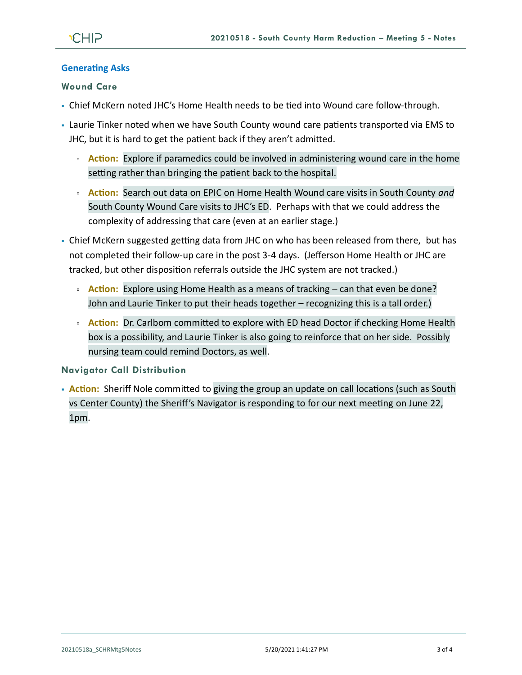### **Generating Asks**

### **Wound Care**

- Chief McKern noted JHC's Home Health needs to be tied into Wound care follow-through.
- Laurie Tinker noted when we have South County wound care patients transported via EMS to JHC, but it is hard to get the patient back if they aren't admitted.
	- **Action:** Explore if paramedics could be involved in administering wound care in the home setting rather than bringing the patient back to the hospital.
	- **Action:** Search out data on EPIC on Home Health Wound care visits in South County *and* South County Wound Care visits to JHC's ED. Perhaps with that we could address the complexity of addressing that care (even at an earlier stage.)
- Chief McKern suggested getting data from JHC on who has been released from there, but has not completed their follow-up care in the post 3-4 days. (Jefferson Home Health or JHC are tracked, but other disposition referrals outside the JHC system are not tracked.)
	- **Action:** Explore using Home Health as a means of tracking can that even be done? John and Laurie Tinker to put their heads together – recognizing this is a tall order.)
	- **Action:** Dr. Carlbom committed to explore with ED head Doctor if checking Home Health box is a possibility, and Laurie Tinker is also going to reinforce that on her side. Possibly nursing team could remind Doctors, as well.

#### **Navigator Call Distribution**

**• Action:** Sheriff Nole committed to giving the group an update on call locations (such as South vs Center County) the Sheriff's Navigator is responding to for our next meeting on June 22, 1pm.